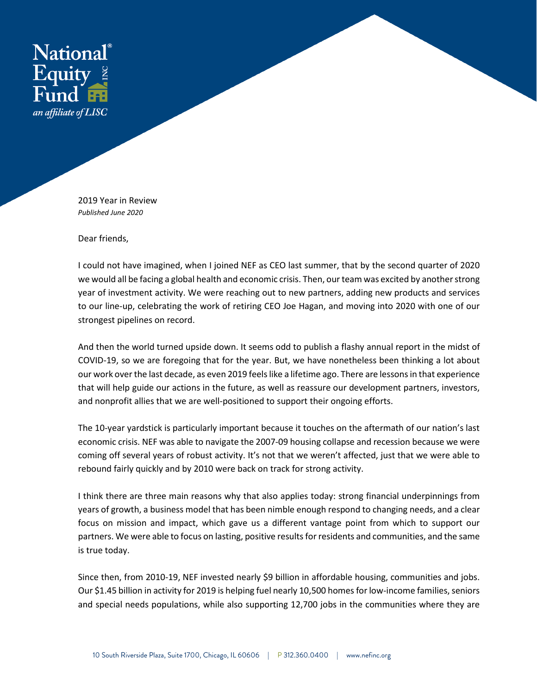

2019 Year in Review *Published June 2020*

Dear friends,

I could not have imagined, when I joined NEF as CEO last summer, that by the second quarter of 2020 we would all be facing a global health and economic crisis. Then, our team was excited by another strong year of investment activity. We were reaching out to new partners, adding new products and services to our line-up, celebrating the work of retiring CEO Joe Hagan, and moving into 2020 with one of our strongest pipelines on record.

And then the world turned upside down. It seems odd to publish a flashy annual report in the midst of COVID-19, so we are foregoing that for the year. But, we have nonetheless been thinking a lot about our work over the last decade, as even 2019 feels like a lifetime ago. There are lessons in that experience that will help guide our actions in the future, as well as reassure our development partners, investors, and nonprofit allies that we are well-positioned to support their ongoing efforts.

The 10-year yardstick is particularly important because it touches on the aftermath of our nation's last economic crisis. NEF was able to navigate the 2007-09 housing collapse and recession because we were coming off several years of robust activity. It's not that we weren't affected, just that we were able to rebound fairly quickly and by 2010 were back on track for strong activity.

I think there are three main reasons why that also applies today: strong financial underpinnings from years of growth, a business model that has been nimble enough respond to changing needs, and a clear focus on mission and impact, which gave us a different vantage point from which to support our partners. We were able to focus on lasting, positive results for residents and communities, and the same is true today.

Since then, from 2010-19, NEF invested nearly \$9 billion in affordable housing, communities and jobs. Our \$1.45 billion in activity for 2019 is helping fuel nearly 10,500 homes for low-income families, seniors and special needs populations, while also supporting 12,700 jobs in the communities where they are